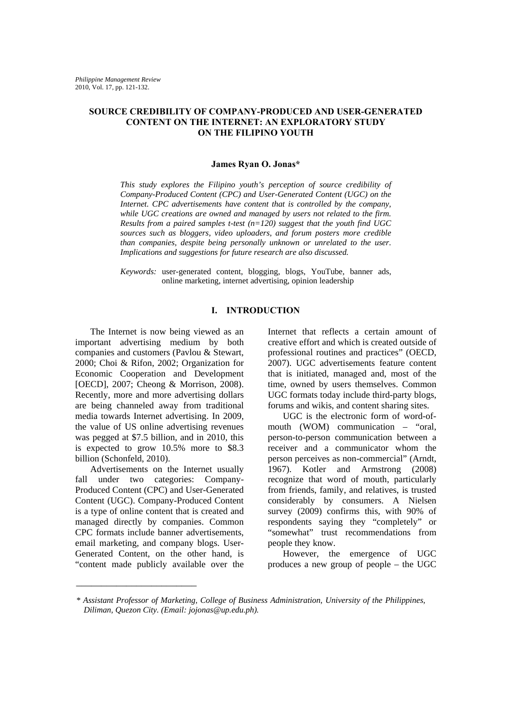### **SOURCE CREDIBILITY OF COMPANY-PRODUCED AND USER-GENERATED CONTENT ON THE INTERNET: AN EXPLORATORY STUDY ON THE FILIPINO YOUTH**

## **James Ryan O. Jonas\***

*This study explores the Filipino youth's perception of source credibility of Company-Produced Content (CPC) and User-Generated Content (UGC) on the Internet. CPC advertisements have content that is controlled by the company, while UGC creations are owned and managed by users not related to the firm. Results from a paired samples t-test (n=120) suggest that the youth find UGC sources such as bloggers, video uploaders, and forum posters more credible than companies, despite being personally unknown or unrelated to the user. Implications and suggestions for future research are also discussed.*

*Keywords:* user-generated content, blogging, blogs, YouTube, banner ads, online marketing, internet advertising, opinion leadership

## **I. INTRODUCTION**

The Internet is now being viewed as an important advertising medium by both companies and customers (Pavlou & Stewart, 2000; Choi & Rifon, 2002; Organization for Economic Cooperation and Development [OECD], 2007; Cheong & Morrison, 2008). Recently, more and more advertising dollars are being channeled away from traditional media towards Internet advertising. In 2009, the value of US online advertising revenues was pegged at \$7.5 billion, and in 2010, this is expected to grow 10.5% more to \$8.3 billion (Schonfeld, 2010).

Advertisements on the Internet usually fall under two categories: Company-Produced Content (CPC) and User-Generated Content (UGC). Company-Produced Content is a type of online content that is created and managed directly by companies. Common CPC formats include banner advertisements, email marketing, and company blogs. User-Generated Content, on the other hand, is "content made publicly available over the

\_\_\_\_\_\_\_\_\_\_\_\_\_\_\_\_\_\_\_\_\_\_\_\_

Internet that reflects a certain amount of creative effort and which is created outside of professional routines and practices" (OECD, 2007). UGC advertisements feature content that is initiated, managed and, most of the time, owned by users themselves. Common UGC formats today include third-party blogs, forums and wikis, and content sharing sites.

UGC is the electronic form of word-ofmouth (WOM) communication – "oral, person-to-person communication between a receiver and a communicator whom the person perceives as non-commercial" (Arndt, 1967). Kotler and Armstrong (2008) recognize that word of mouth, particularly from friends, family, and relatives, is trusted considerably by consumers. A Nielsen survey (2009) confirms this, with 90% of respondents saying they "completely" or "somewhat" trust recommendations from people they know.

However, the emergence of UGC produces a new group of people – the UGC

*<sup>\*</sup> Assistant Professor of Marketing, College of Business Administration, University of the Philippines, Diliman, Quezon City. (Email: jojonas@up.edu.ph).*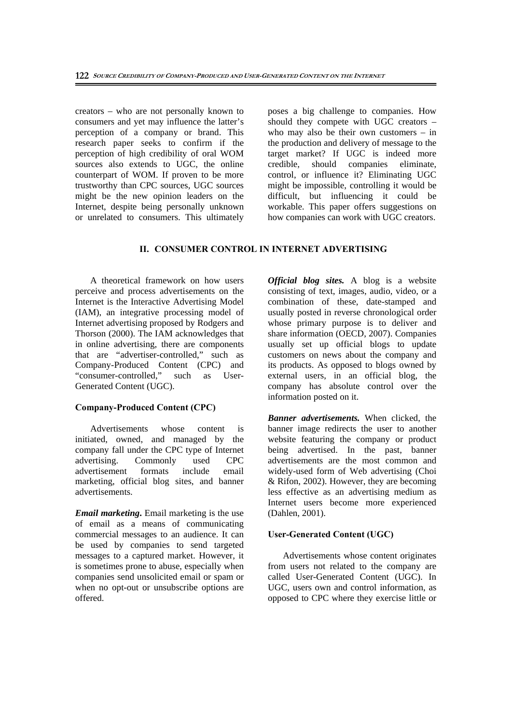creators – who are not personally known to consumers and yet may influence the latter's perception of a company or brand. This research paper seeks to confirm if the perception of high credibility of oral WOM sources also extends to UGC, the online counterpart of WOM. If proven to be more trustworthy than CPC sources, UGC sources might be the new opinion leaders on the Internet, despite being personally unknown or unrelated to consumers. This ultimately poses a big challenge to companies. How should they compete with UGC creators – who may also be their own customers – in the production and delivery of message to the target market? If UGC is indeed more credible, should companies eliminate, control, or influence it? Eliminating UGC might be impossible, controlling it would be difficult, but influencing it could be workable. This paper offers suggestions on how companies can work with UGC creators.

### **II. CONSUMER CONTROL IN INTERNET ADVERTISING**

A theoretical framework on how users perceive and process advertisements on the Internet is the Interactive Advertising Model (IAM), an integrative processing model of Internet advertising proposed by Rodgers and Thorson (2000). The IAM acknowledges that in online advertising, there are components that are "advertiser-controlled," such as Company-Produced Content (CPC) and<br>"consumer-controlled," such as User-"consumer-controlled." Generated Content (UGC).

### **Company-Produced Content (CPC)**

Advertisements whose content is initiated, owned, and managed by the company fall under the CPC type of Internet advertising. Commonly used CPC advertisement formats include email marketing, official blog sites, and banner advertisements.

*Email marketing***.** Email marketing is the use of email as a means of communicating commercial messages to an audience. It can be used by companies to send targeted messages to a captured market. However, it is sometimes prone to abuse, especially when companies send unsolicited email or spam or when no opt-out or unsubscribe options are offered.

*Official blog sites.* A blog is a website consisting of text, images, audio, video, or a combination of these, date-stamped and usually posted in reverse chronological order whose primary purpose is to deliver and share information (OECD, 2007). Companies usually set up official blogs to update customers on news about the company and its products. As opposed to blogs owned by external users, in an official blog, the company has absolute control over the information posted on it.

*Banner advertisements.* When clicked, the banner image redirects the user to another website featuring the company or product being advertised. In the past, banner advertisements are the most common and widely-used form of Web advertising (Choi & Rifon, 2002). However, they are becoming less effective as an advertising medium as Internet users become more experienced (Dahlen, 2001).

### **User-Generated Content (UGC)**

Advertisements whose content originates from users not related to the company are called User-Generated Content (UGC). In UGC, users own and control information, as opposed to CPC where they exercise little or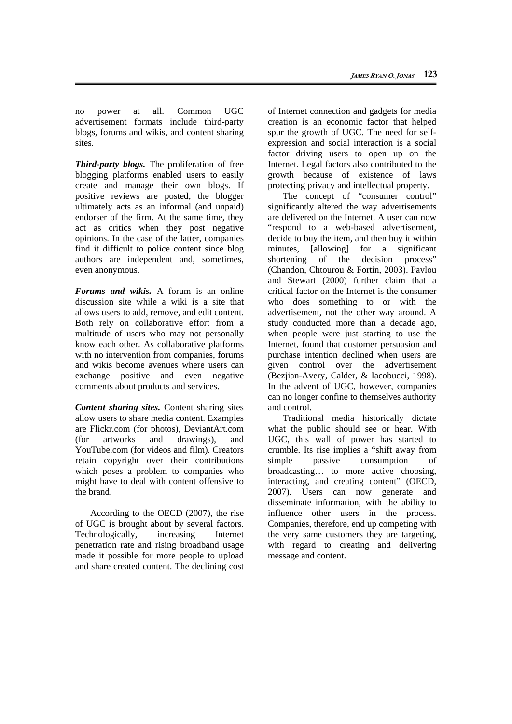no power at all. Common UGC advertisement formats include third-party blogs, forums and wikis, and content sharing sites.

*Third-party blogs.* The proliferation of free blogging platforms enabled users to easily create and manage their own blogs. If positive reviews are posted, the blogger ultimately acts as an informal (and unpaid) endorser of the firm. At the same time, they act as critics when they post negative opinions. In the case of the latter, companies find it difficult to police content since blog authors are independent and, sometimes, even anonymous.

*Forums and wikis.* A forum is an online discussion site while a wiki is a site that allows users to add, remove, and edit content. Both rely on collaborative effort from a multitude of users who may not personally know each other. As collaborative platforms with no intervention from companies, forums and wikis become avenues where users can exchange positive and even negative comments about products and services.

*Content sharing sites.* Content sharing sites allow users to share media content. Examples are Flickr.com (for photos), DeviantArt.com (for artworks and drawings) and YouTube.com (for videos and film). Creators retain copyright over their contributions which poses a problem to companies who might have to deal with content offensive to the brand.

According to the OECD (2007), the rise of UGC is brought about by several factors. Technologically, increasing Internet penetration rate and rising broadband usage made it possible for more people to upload and share created content. The declining cost

of Internet connection and gadgets for media creation is an economic factor that helped spur the growth of UGC. The need for selfexpression and social interaction is a social factor driving users to open up on the Internet. Legal factors also contributed to the growth because of existence of laws protecting privacy and intellectual property.

The concept of "consumer control" significantly altered the way advertisements are delivered on the Internet. A user can now "respond to a web-based advertisement, decide to buy the item, and then buy it within minutes, [allowing] for a significant shortening of the decision process" (Chandon, Chtourou & Fortin, 2003). Pavlou and Stewart (2000) further claim that a critical factor on the Internet is the consumer who does something to or with the advertisement, not the other way around. A study conducted more than a decade ago, when people were just starting to use the Internet, found that customer persuasion and purchase intention declined when users are given control over the advertisement (Bezjian-Avery, Calder, & Iacobucci, 1998). In the advent of UGC, however, companies can no longer confine to themselves authority and control.

Traditional media historically dictate what the public should see or hear. With UGC, this wall of power has started to crumble. Its rise implies a "shift away from simple passive consumption of broadcasting… to more active choosing, interacting, and creating content" (OECD, 2007). Users can now generate and disseminate information, with the ability to influence other users in the process. Companies, therefore, end up competing with the very same customers they are targeting, with regard to creating and delivering message and content.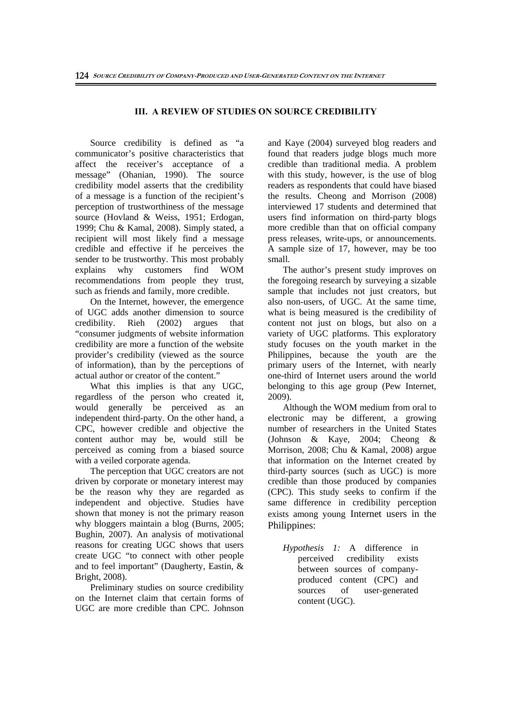## **III. A REVIEW OF STUDIES ON SOURCE CREDIBILITY**

Source credibility is defined as "a communicator's positive characteristics that affect the receiver's acceptance of a message" (Ohanian, 1990). The source credibility model asserts that the credibility of a message is a function of the recipient's perception of trustworthiness of the message source (Hovland & Weiss, 1951; Erdogan, 1999; Chu & Kamal, 2008). Simply stated, a recipient will most likely find a message credible and effective if he perceives the sender to be trustworthy. This most probably explains why customers find WOM recommendations from people they trust, such as friends and family, more credible.

On the Internet, however, the emergence of UGC adds another dimension to source credibility. Rieh (2002) argues that "consumer judgments of website information credibility are more a function of the website provider's credibility (viewed as the source of information), than by the perceptions of actual author or creator of the content."

What this implies is that any UGC, regardless of the person who created it, would generally be perceived as an independent third-party. On the other hand, a CPC, however credible and objective the content author may be, would still be perceived as coming from a biased source with a veiled corporate agenda.

The perception that UGC creators are not driven by corporate or monetary interest may be the reason why they are regarded as independent and objective. Studies have shown that money is not the primary reason why bloggers maintain a blog (Burns, 2005; Bughin, 2007). An analysis of motivational reasons for creating UGC shows that users create UGC "to connect with other people and to feel important" (Daugherty, Eastin, & Bright, 2008).

Preliminary studies on source credibility on the Internet claim that certain forms of UGC are more credible than CPC. Johnson and Kaye (2004) surveyed blog readers and found that readers judge blogs much more credible than traditional media. A problem with this study, however, is the use of blog readers as respondents that could have biased the results. Cheong and Morrison (2008) interviewed 17 students and determined that users find information on third-party blogs more credible than that on official company press releases, write-ups, or announcements. A sample size of 17, however, may be too small.

The author's present study improves on the foregoing research by surveying a sizable sample that includes not just creators, but also non-users, of UGC. At the same time, what is being measured is the credibility of content not just on blogs, but also on a variety of UGC platforms. This exploratory study focuses on the youth market in the Philippines, because the youth are the primary users of the Internet, with nearly one-third of Internet users around the world belonging to this age group (Pew Internet, 2009).

Although the WOM medium from oral to electronic may be different, a growing number of researchers in the United States (Johnson & Kaye, 2004; Cheong & Morrison, 2008; Chu & Kamal, 2008) argue that information on the Internet created by third-party sources (such as UGC) is more credible than those produced by companies (CPC). This study seeks to confirm if the same difference in credibility perception exists among young Internet users in the Philippines:

*Hypothesis 1:* A difference in perceived credibility exists between sources of companyproduced content (CPC) and sources of user-generated content (UGC).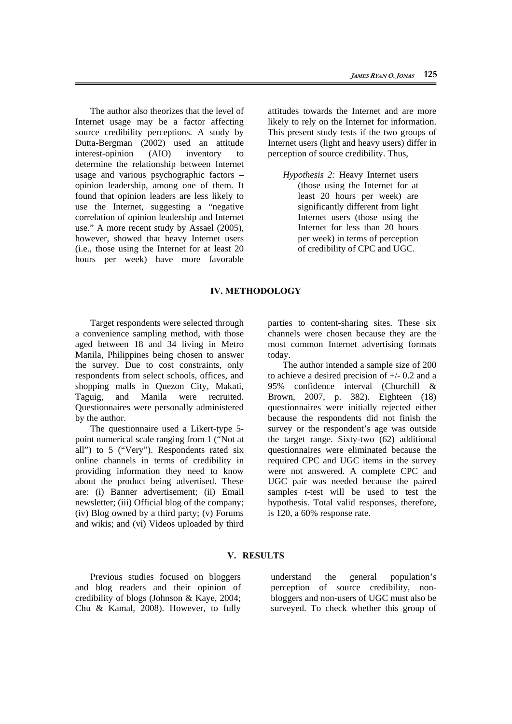The author also theorizes that the level of Internet usage may be a factor affecting source credibility perceptions. A study by Dutta-Bergman (2002) used an attitude interest-opinion (AIO) inventory to determine the relationship between Internet usage and various psychographic factors – opinion leadership, among one of them. It found that opinion leaders are less likely to use the Internet, suggesting a "negative correlation of opinion leadership and Internet use." A more recent study by Assael (2005), however, showed that heavy Internet users (i.e., those using the Internet for at least 20 hours per week) have more favorable attitudes towards the Internet and are more likely to rely on the Internet for information. This present study tests if the two groups of Internet users (light and heavy users) differ in perception of source credibility. Thus,

*Hypothesis 2:* Heavy Internet users (those using the Internet for at least 20 hours per week) are significantly different from light Internet users (those using the Internet for less than 20 hours per week) in terms of perception of credibility of CPC and UGC.

#### **IV. METHODOLOGY**

Target respondents were selected through a convenience sampling method, with those aged between 18 and 34 living in Metro Manila, Philippines being chosen to answer the survey. Due to cost constraints, only respondents from select schools, offices, and shopping malls in Quezon City, Makati, Taguig, and Manila were recruited. Questionnaires were personally administered by the author.

The questionnaire used a Likert-type 5 point numerical scale ranging from 1 ("Not at all") to 5 ("Very"). Respondents rated six online channels in terms of credibility in providing information they need to know about the product being advertised. These are: (i) Banner advertisement; (ii) Email newsletter; (iii) Official blog of the company; (iv) Blog owned by a third party; (v) Forums and wikis; and (vi) Videos uploaded by third parties to content-sharing sites. These six channels were chosen because they are the most common Internet advertising formats today.

The author intended a sample size of 200 to achieve a desired precision of +/- 0.2 and a 95% confidence interval (Churchill & Brown, 2007, p. 382). Eighteen (18) questionnaires were initially rejected either because the respondents did not finish the survey or the respondent's age was outside the target range. Sixty-two (62) additional questionnaires were eliminated because the required CPC and UGC items in the survey were not answered. A complete CPC and UGC pair was needed because the paired samples *t*-test will be used to test the hypothesis. Total valid responses, therefore, is 120, a 60% response rate.

### **V. RESULTS**

Previous studies focused on bloggers and blog readers and their opinion of credibility of blogs (Johnson & Kaye, 2004; Chu & Kamal, 2008). However, to fully

understand the general population's perception of source credibility, nonbloggers and non-users of UGC must also be surveyed. To check whether this group of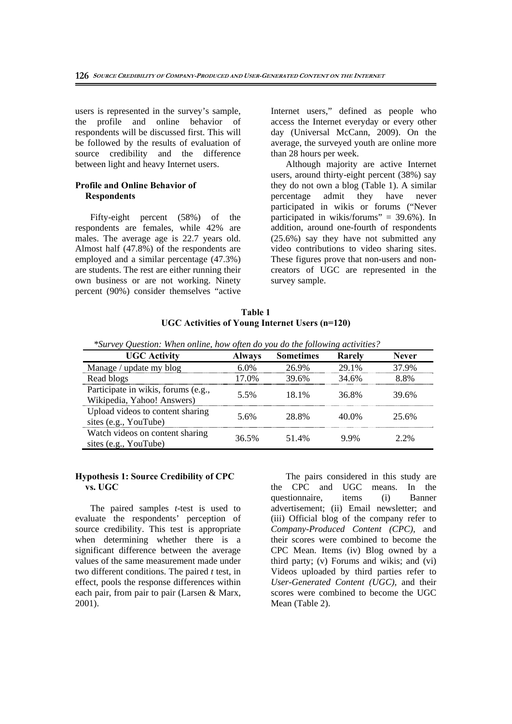users is represented in the survey's sample, the profile and online behavior of respondents will be discussed first. This will be followed by the results of evaluation of source credibility and the difference between light and heavy Internet users.

## **Profile and Online Behavior of Respondents**

Fifty-eight percent (58%) of the respondents are females, while 42% are males. The average age is 22.7 years old. Almost half (47.8%) of the respondents are employed and a similar percentage (47.3%) are students. The rest are either running their own business or are not working. Ninety percent (90%) consider themselves "active Internet users," defined as people who access the Internet everyday or every other day (Universal McCann, 2009). On the average, the surveyed youth are online more than 28 hours per week.

Although majority are active Internet users, around thirty-eight percent (38%) say they do not own a blog (Table 1). A similar percentage admit they have never participated in wikis or forums ("Never participated in wikis/forums" =  $39.6\%$ ). In addition, around one-fourth of respondents (25.6%) say they have not submitted any video contributions to video sharing sites. These figures prove that non-users and noncreators of UGC are represented in the survey sample.

| Table 1                                        |  |
|------------------------------------------------|--|
| UGC Activities of Young Internet Users (n=120) |  |

| survey Oneshon. When online, now often ab you ab the following activities. |               |                  |        |              |
|----------------------------------------------------------------------------|---------------|------------------|--------|--------------|
| <b>UGC Activity</b>                                                        | <b>Always</b> | <b>Sometimes</b> | Rarely | <b>Never</b> |
| Manage / update my blog                                                    | $6.0\%$       | 26.9%            | 29.1%  | 37.9%        |
| Read blogs                                                                 | 17.0%         | 39.6%            | 34.6%  | 8.8%         |
| Participate in wikis, forums (e.g.,<br>Wikipedia, Yahoo! Answers)          | 5.5%          | 18.1%            | 36.8%  | 39.6%        |
| Upload videos to content sharing<br>sites (e.g., YouTube)                  | 5.6%          | 28.8%            | 40.0%  | 25.6%        |
| Watch videos on content sharing<br>sites (e.g., YouTube)                   | 36.5%         | 51.4%            | 9.9%   | 2.2%         |

 *\*Survey Question: When online, how often do you do the following activities?* 

#### **Hypothesis 1: Source Credibility of CPC vs. UGC**

The paired samples *t*-test is used to evaluate the respondents' perception of source credibility. This test is appropriate when determining whether there is a significant difference between the average values of the same measurement made under two different conditions. The paired *t* test, in effect, pools the response differences within each pair, from pair to pair (Larsen & Marx, 2001).

The pairs considered in this study are the CPC and UGC means. In the questionnaire, items (i) Banner advertisement; (ii) Email newsletter; and (iii) Official blog of the company refer to *Company-Produced Content (CPC),* and their scores were combined to become the CPC Mean. Items (iv) Blog owned by a third party; (v) Forums and wikis; and (vi) Videos uploaded by third parties refer to *User-Generated Content (UGC),* and their scores were combined to become the UGC Mean (Table 2).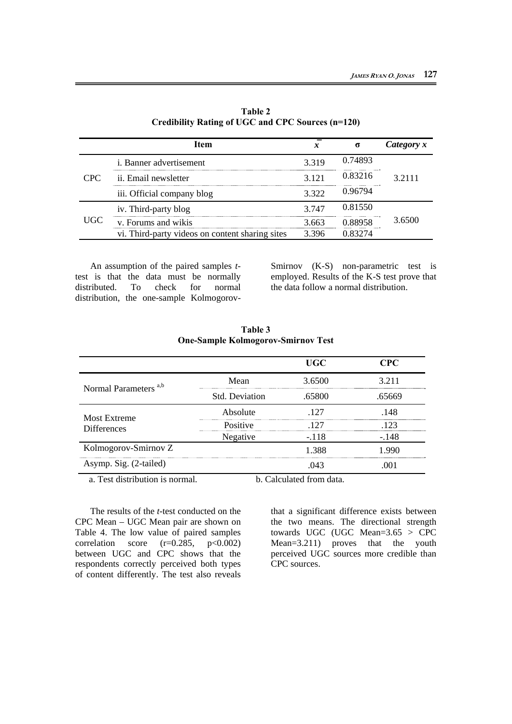|            | Item                                            | x     | σ       | Category x |
|------------|-------------------------------------------------|-------|---------|------------|
|            | <i>i</i> . Banner advertisement                 | 3.319 | 0.74893 |            |
| <b>CPC</b> | ii. Email newsletter                            | 3.121 | 0.83216 | 3.2111     |
|            | iii. Official company blog                      | 3.322 | 0.96794 |            |
|            | iv. Third-party blog                            | 3.747 | 0.81550 |            |
| <b>UGC</b> | v. Forums and wikis                             | 3.663 | 0.88958 | 3.6500     |
|            | vi. Third-party videos on content sharing sites | 3.396 | 0.83274 |            |

**Table 2 Credibility Rating of UGC and CPC Sources (n=120)** 

An assumption of the paired samples *t*test is that the data must be normally distributed. To check for normal distribution, the one-sample KolmogorovSmirnov (K-S) non-parametric test is employed. Results of the K-S test prove that the data follow a normal distribution.

|                                  |                | <b>UGC</b>                     | <b>CPC</b> |
|----------------------------------|----------------|--------------------------------|------------|
|                                  | Mean           | 3.6500                         | 3.211      |
| Normal Parameters <sup>a,b</sup> | Std. Deviation | .65800                         | .65669     |
| <b>Most Extreme</b>              | Absolute       | .127                           | .148       |
| <b>Differences</b>               | Positive       | .127                           | .123       |
|                                  | Negative       | $-.118$                        | $-.148$    |
| Kolmogorov-Smirnov Z             |                | 1.388                          | 1.990      |
| Asymp. Sig. (2-tailed)           |                | .043                           | .001       |
| $-1.1.11$                        |                | $1 \cap 1$ $1 \cdot 1 \cdot 1$ |            |

**Table 3 One-Sample Kolmogorov-Smirnov Test** 

a. Test distribution is normal. b. Calculated from data.

The results of the *t*-test conducted on the CPC Mean – UGC Mean pair are shown on Table 4. The low value of paired samples correlation score  $(r=0.285, p<0.002)$ between UGC and CPC shows that the respondents correctly perceived both types of content differently. The test also reveals

that a significant difference exists between the two means. The directional strength towards UGC (UGC Mean= $3.65 > \text{CPC}$ Mean=3.211) proves that the youth perceived UGC sources more credible than CPC sources.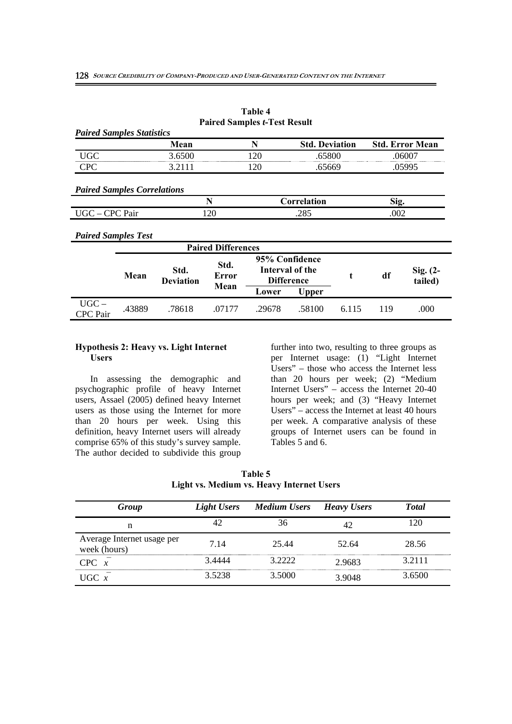**Error Mean** 

|                                    |      |                          | <b>Paired Samples t-Test Result</b> |     |                                                        |   |      |                        |
|------------------------------------|------|--------------------------|-------------------------------------|-----|--------------------------------------------------------|---|------|------------------------|
| <b>Paired Samples Statistics</b>   |      |                          |                                     |     |                                                        |   |      |                        |
|                                    |      | Mean                     |                                     | N   | <b>Std. Deviation</b>                                  |   |      | <b>Std. Error Mean</b> |
| <b>UGC</b>                         |      | 3.6500                   |                                     | 120 | .65800                                                 |   |      | .06007                 |
| <b>CPC</b>                         |      | 3.2111                   |                                     | 120 | .65669                                                 |   |      | .05995                 |
|                                    |      |                          |                                     |     |                                                        |   |      |                        |
| <b>Paired Samples Correlations</b> |      |                          |                                     |     |                                                        |   |      |                        |
|                                    |      |                          | N                                   |     | Correlation                                            |   | Sig. |                        |
| UGC - CPC Pair                     |      |                          | 120                                 |     | .285                                                   |   | .002 |                        |
| <b>Paired Samples Test</b>         |      |                          |                                     |     |                                                        |   |      |                        |
|                                    |      |                          | <b>Paired Differences</b>           |     |                                                        |   |      |                        |
|                                    | Mean | Std.<br><b>Deviation</b> | Std.<br>Error<br>$\blacksquare$     |     | 95% Confidence<br>Interval of the<br><b>Difference</b> | t | df   | Sig. $(2-$<br>tailed)  |

CPC Pair .43889 .78618 .07177 .29678 .58100 6.115 119 .000

**Lower Upper** 

**Table 4** 

#### **Hypothesis 2: Heavy vs. Light Internet Users**

UGC –

In assessing the demographic and psychographic profile of heavy Internet users, Assael (2005) defined heavy Internet users as those using the Internet for more than 20 hours per week. Using this definition, heavy Internet users will already comprise 65% of this study's survey sample. The author decided to subdivide this group

further into two, resulting to three groups as per Internet usage: (1) "Light Internet Users" – those who access the Internet less than 20 hours per week; (2) "Medium Internet Users" – access the Internet 20-40 hours per week; and (3) "Heavy Internet Users" – access the Internet at least 40 hours per week. A comparative analysis of these groups of Internet users can be found in Tables 5 and 6.

|                                           | Table 5 |  |
|-------------------------------------------|---------|--|
| Light vs. Medium vs. Heavy Internet Users |         |  |

| <b>Group</b>                               | <b>Light Users</b> | <b>Medium Users</b> | <b>Heavy Users</b> | <b>Total</b> |
|--------------------------------------------|--------------------|---------------------|--------------------|--------------|
| n                                          | 42                 | 36                  | 42                 | 120          |
| Average Internet usage per<br>week (hours) | 7.14               | 25.44               | 52.64              | 28.56        |
| CPC x                                      | 3.4444             | 3.2222              | 2.9683             | 3.2111       |
| $UGC \, x$                                 | 3.5238             | 3.5000              | 3.9048             | 3.6500       |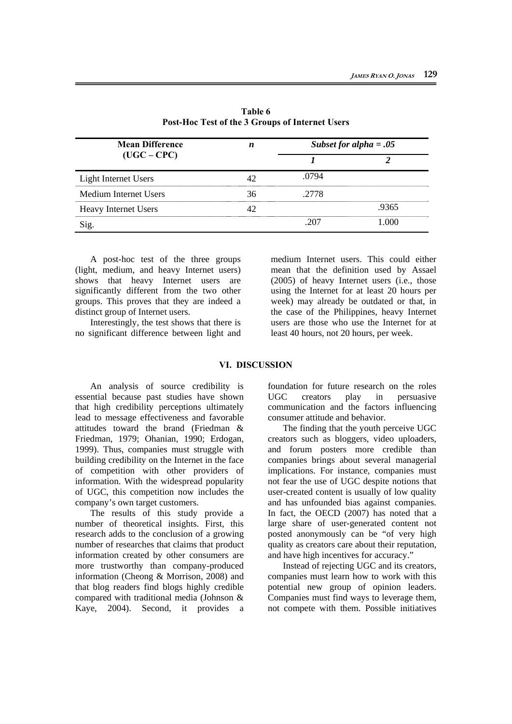| <b>Mean Difference</b><br>$(UGC - CPC)$ | n  | Subset for alpha = $.05$ |       |
|-----------------------------------------|----|--------------------------|-------|
|                                         |    |                          |       |
| Light Internet Users                    | 42 | .0794                    |       |
| Medium Internet Users                   | 36 | .2778                    |       |
| <b>Heavy Internet Users</b>             |    |                          | .9365 |
| Sig.                                    |    | .207                     | 1.000 |

**Table 6 Post-Hoc Test of the 3 Groups of Internet Users** 

A post-hoc test of the three groups (light, medium, and heavy Internet users) shows that heavy Internet users are significantly different from the two other groups. This proves that they are indeed a distinct group of Internet users.

Interestingly, the test shows that there is no significant difference between light and medium Internet users. This could either mean that the definition used by Assael (2005) of heavy Internet users (i.e., those using the Internet for at least 20 hours per week) may already be outdated or that, in the case of the Philippines, heavy Internet users are those who use the Internet for at least 40 hours, not 20 hours, per week.

## **VI. DISCUSSION**

An analysis of source credibility is essential because past studies have shown that high credibility perceptions ultimately lead to message effectiveness and favorable attitudes toward the brand (Friedman & Friedman, 1979; Ohanian, 1990; Erdogan, 1999). Thus, companies must struggle with building credibility on the Internet in the face of competition with other providers of information. With the widespread popularity of UGC, this competition now includes the company's own target customers.

The results of this study provide a number of theoretical insights. First, this research adds to the conclusion of a growing number of researches that claims that product information created by other consumers are more trustworthy than company-produced information (Cheong & Morrison, 2008) and that blog readers find blogs highly credible compared with traditional media (Johnson & Kaye, 2004). Second, it provides a foundation for future research on the roles UGC creators play in persuasive communication and the factors influencing consumer attitude and behavior.

The finding that the youth perceive UGC creators such as bloggers, video uploaders, and forum posters more credible than companies brings about several managerial implications. For instance, companies must not fear the use of UGC despite notions that user-created content is usually of low quality and has unfounded bias against companies. In fact, the OECD (2007) has noted that a large share of user-generated content not posted anonymously can be "of very high quality as creators care about their reputation, and have high incentives for accuracy."

Instead of rejecting UGC and its creators, companies must learn how to work with this potential new group of opinion leaders. Companies must find ways to leverage them, not compete with them. Possible initiatives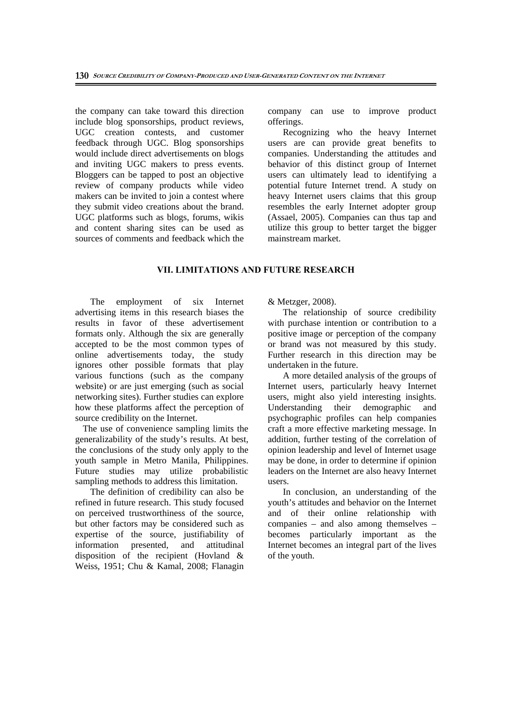the company can take toward this direction include blog sponsorships, product reviews, UGC creation contests, and customer feedback through UGC. Blog sponsorships would include direct advertisements on blogs and inviting UGC makers to press events. Bloggers can be tapped to post an objective review of company products while video makers can be invited to join a contest where they submit video creations about the brand. UGC platforms such as blogs, forums, wikis and content sharing sites can be used as sources of comments and feedback which the company can use to improve product offerings.

Recognizing who the heavy Internet users are can provide great benefits to companies. Understanding the attitudes and behavior of this distinct group of Internet users can ultimately lead to identifying a potential future Internet trend. A study on heavy Internet users claims that this group resembles the early Internet adopter group (Assael, 2005). Companies can thus tap and utilize this group to better target the bigger mainstream market.

## **VII. LIMITATIONS AND FUTURE RESEARCH**

The employment of six Internet advertising items in this research biases the results in favor of these advertisement formats only. Although the six are generally accepted to be the most common types of online advertisements today, the study ignores other possible formats that play various functions (such as the company website) or are just emerging (such as social networking sites). Further studies can explore how these platforms affect the perception of source credibility on the Internet.

 The use of convenience sampling limits the generalizability of the study's results. At best, the conclusions of the study only apply to the youth sample in Metro Manila, Philippines. Future studies may utilize probabilistic sampling methods to address this limitation.

The definition of credibility can also be refined in future research. This study focused on perceived trustworthiness of the source, but other factors may be considered such as expertise of the source, justifiability of information presented, and attitudinal disposition of the recipient (Hovland & Weiss, 1951; Chu & Kamal, 2008; Flanagin & Metzger, 2008).

The relationship of source credibility with purchase intention or contribution to a positive image or perception of the company or brand was not measured by this study. Further research in this direction may be undertaken in the future.

A more detailed analysis of the groups of Internet users, particularly heavy Internet users, might also yield interesting insights. Understanding their demographic and psychographic profiles can help companies craft a more effective marketing message. In addition, further testing of the correlation of opinion leadership and level of Internet usage may be done, in order to determine if opinion leaders on the Internet are also heavy Internet users.

In conclusion, an understanding of the youth's attitudes and behavior on the Internet and of their online relationship with companies – and also among themselves – becomes particularly important as the Internet becomes an integral part of the lives of the youth.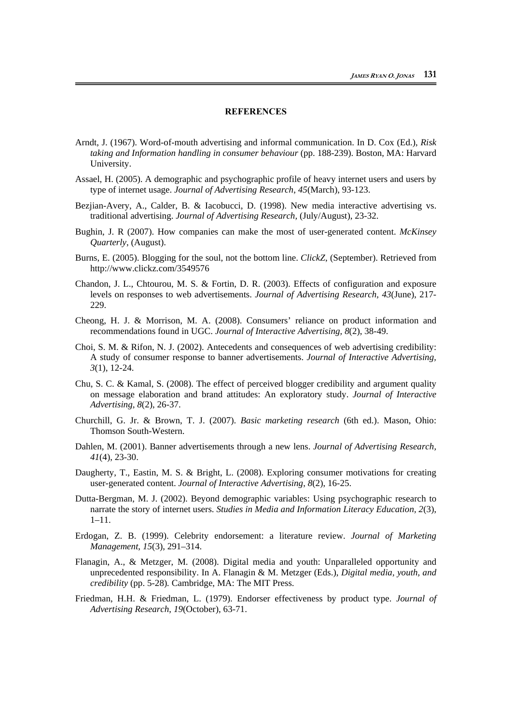# **REFERENCES**

- Arndt, J. (1967). Word-of-mouth advertising and informal communication. In D. Cox (Ed.), *Risk taking and Information handling in consumer behaviour* (pp. 188-239). Boston, MA: Harvard University.
- Assael, H. (2005). A demographic and psychographic profile of heavy internet users and users by type of internet usage. *Journal of Advertising Research*, *45*(March), 93-123.
- Bezjian-Avery, A., Calder, B. & Iacobucci, D. (1998). New media interactive advertising vs. traditional advertising. *Journal of Advertising Research,* (July/August), 23-32.
- Bughin, J. R (2007). How companies can make the most of user-generated content. *McKinsey Quarterly*, (August).
- Burns, E. (2005). Blogging for the soul, not the bottom line. *ClickZ*, (September). Retrieved from http://www.clickz.com/3549576
- Chandon, J. L., Chtourou, M. S. & Fortin, D. R. (2003). Effects of configuration and exposure levels on responses to web advertisements. *Journal of Advertising Research, 43*(June), 217- 229.
- Cheong, H. J. & Morrison, M. A. (2008). Consumers' reliance on product information and recommendations found in UGC. *Journal of Interactive Advertising, 8*(2), 38-49.
- Choi, S. M. & Rifon, N. J. (2002). Antecedents and consequences of web advertising credibility: A study of consumer response to banner advertisements. *Journal of Interactive Advertising, 3*(1), 12-24.
- Chu, S. C. & Kamal, S. (2008). The effect of perceived blogger credibility and argument quality on message elaboration and brand attitudes: An exploratory study. *Journal of Interactive Advertising, 8*(2), 26-37.
- Churchill, G. Jr. & Brown, T. J. (2007). *Basic marketing research* (6th ed.). Mason, Ohio: Thomson South-Western.
- Dahlen, M. (2001). Banner advertisements through a new lens. *Journal of Advertising Research, 41*(4), 23-30.
- Daugherty, T., Eastin, M. S. & Bright, L. (2008). Exploring consumer motivations for creating user-generated content. *Journal of Interactive Advertising*, *8*(2), 16-25.
- Dutta-Bergman, M. J. (2002). Beyond demographic variables: Using psychographic research to narrate the story of internet users. *Studies in Media and Information Literacy Education, 2*(3), 1–11.
- Erdogan, Z. B. (1999). Celebrity endorsement: a literature review. *Journal of Marketing Management*, *15*(3), 291–314.
- Flanagin, A., & Metzger, M. (2008). Digital media and youth: Unparalleled opportunity and unprecedented responsibility. In A. Flanagin & M. Metzger (Eds.), *Digital media, youth, and credibility* (pp. 5-28)*.* Cambridge, MA: The MIT Press.
- Friedman, H.H. & Friedman, L. (1979). Endorser effectiveness by product type. *Journal of Advertising Research*, *19*(October), 63-71.